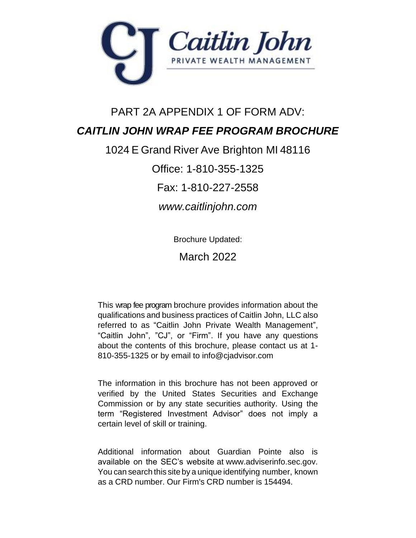

# PART 2A APPENDIX 1 OF FORM ADV: *CAITLIN JOHN WRAP FEE PROGRAM BROCHURE*

1024 E Grand River Ave Brighton MI 48116

Office: 1-810-355-1325

Fax: 1-810-227-2558

*www.caitlinjohn.com*

Brochure Updated:

March 2022

This wrap fee program brochure provides information about the qualifications and business practices of Caitlin John, LLC also referred to as "Caitlin John Private Wealth Management", "Caitlin John", "CJ", or "Firm". If you have any questions about the contents of this brochure, please contact us at 1- 810-355-1325 or by email to info@cjadvisor.com

The information in this brochure has not been approved or verified by the United States Securities and Exchange Commission or by any state securities authority. Using the term "Registered Investment Advisor" does not imply a certain level of skill or training.

Additional information about Guardian Pointe also is available on the SEC's website at www.adviserinfo.sec.gov. You can search this site by a unique identifying number, known as a CRD number. Our Firm's CRD number is 154494.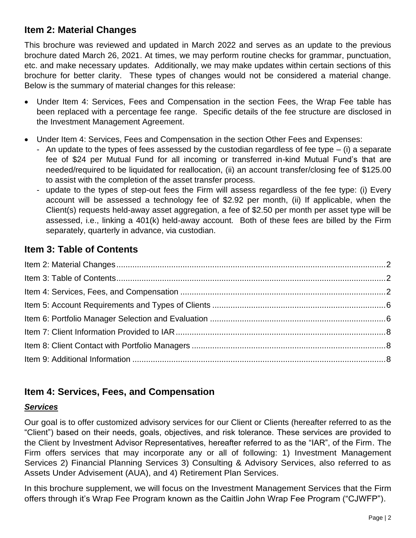## <span id="page-1-0"></span>**Item 2: Material Changes**

This brochure was reviewed and updated in March 2022 and serves as an update to the previous brochure dated March 26, 2021. At times, we may perform routine checks for grammar, punctuation, etc. and make necessary updates. Additionally, we may make updates within certain sections of this brochure for better clarity. These types of changes would not be considered a material change. Below is the summary of material changes for this release:

- Under Item 4: Services, Fees and Compensation in the section Fees, the Wrap Fee table has been replaced with a percentage fee range. Specific details of the fee structure are disclosed in the Investment Management Agreement.
- Under Item 4: Services, Fees and Compensation in the section Other Fees and Expenses:
	- An update to the types of fees assessed by the custodian regardless of fee type  $-$  (i) a separate fee of \$24 per Mutual Fund for all incoming or transferred in-kind Mutual Fund's that are needed/required to be liquidated for reallocation, (ii) an account transfer/closing fee of \$125.00 to assist with the completion of the asset transfer process.
	- update to the types of step-out fees the Firm will assess regardless of the fee type: (i) Every account will be assessed a technology fee of \$2.92 per month, (ii) If applicable, when the Client(s) requests held-away asset aggregation, a fee of \$2.50 per month per asset type will be assessed, i.e., linking a 401(k) held-away account. Both of these fees are billed by the Firm separately, quarterly in advance, via custodian.

# <span id="page-1-1"></span>**Item 3: Table of Contents**

# <span id="page-1-2"></span>**Item 4: Services, Fees, and Compensation**

### *Services*

Our goal is to offer customized advisory services for our Client or Clients (hereafter referred to as the "Client") based on their needs, goals, objectives, and risk tolerance. These services are provided to the Client by Investment Advisor Representatives, hereafter referred to as the "IAR", of the Firm. The Firm offers services that may incorporate any or all of following: 1) Investment Management Services 2) Financial Planning Services 3) Consulting & Advisory Services, also referred to as Assets Under Advisement (AUA), and 4) Retirement Plan Services.

In this brochure supplement, we will focus on the Investment Management Services that the Firm offers through it's Wrap Fee Program known as the Caitlin John Wrap Fee Program ("CJWFP").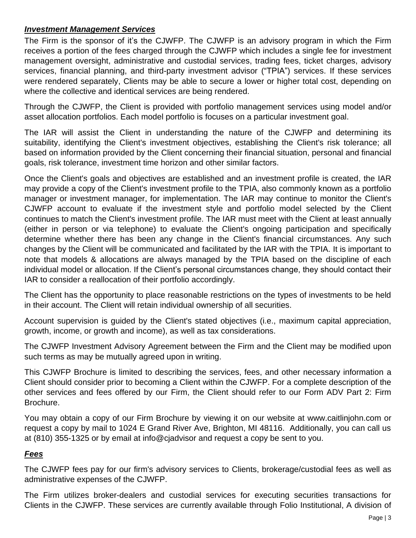### *Investment Management Services*

The Firm is the sponsor of it's the CJWFP. The CJWFP is an advisory program in which the Firm receives a portion of the fees charged through the CJWFP which includes a single fee for investment management oversight, administrative and custodial services, trading fees, ticket charges, advisory services, financial planning, and third-party investment advisor ("TPIA") services. If these services were rendered separately, Clients may be able to secure a lower or higher total cost, depending on where the collective and identical services are being rendered.

Through the CJWFP, the Client is provided with portfolio management services using model and/or asset allocation portfolios. Each model portfolio is focuses on a particular investment goal.

The IAR will assist the Client in understanding the nature of the CJWFP and determining its suitability, identifying the Client's investment objectives, establishing the Client's risk tolerance; all based on information provided by the Client concerning their financial situation, personal and financial goals, risk tolerance, investment time horizon and other similar factors.

Once the Client's goals and objectives are established and an investment profile is created, the IAR may provide a copy of the Client's investment profile to the TPIA, also commonly known as a portfolio manager or investment manager, for implementation. The IAR may continue to monitor the Client's CJWFP account to evaluate if the investment style and portfolio model selected by the Client continues to match the Client's investment profile. The IAR must meet with the Client at least annually (either in person or via telephone) to evaluate the Client's ongoing participation and specifically determine whether there has been any change in the Client's financial circumstances. Any such changes by the Client will be communicated and facilitated by the IAR with the TPIA. It is important to note that models & allocations are always managed by the TPIA based on the discipline of each individual model or allocation. If the Client's personal circumstances change, they should contact their IAR to consider a reallocation of their portfolio accordingly.

The Client has the opportunity to place reasonable restrictions on the types of investments to be held in their account. The Client will retain individual ownership of all securities.

Account supervision is guided by the Client's stated objectives (i.e., maximum capital appreciation, growth, income, or growth and income), as well as tax considerations.

The CJWFP Investment Advisory Agreement between the Firm and the Client may be modified upon such terms as may be mutually agreed upon in writing.

This CJWFP Brochure is limited to describing the services, fees, and other necessary information a Client should consider prior to becoming a Client within the CJWFP. For a complete description of the other services and fees offered by our Firm, the Client should refer to our Form ADV Part 2: Firm Brochure.

You may obtain a copy of our Firm Brochure by viewing it on our website at www.caitlinjohn.com or request a copy by mail to 1024 E Grand River Ave, Brighton, MI 48116. Additionally, you can call us at (810) 355-1325 or by email at info@cjadvisor and request a copy be sent to you.

### *Fees*

The CJWFP fees pay for our firm's advisory services to Clients, brokerage/custodial fees as well as administrative expenses of the CJWFP.

The Firm utilizes broker-dealers and custodial services for executing securities transactions for Clients in the CJWFP. These services are currently available through Folio Institutional, A division of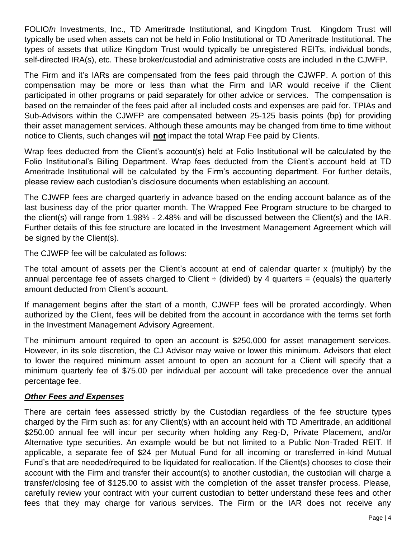FOLIO*fn* Investments, Inc., TD Ameritrade Institutional, and Kingdom Trust. Kingdom Trust will typically be used when assets can not be held in Folio Institutional or TD Ameritrade Institutional. The types of assets that utilize Kingdom Trust would typically be unregistered REITs, individual bonds, self-directed IRA(s), etc. These broker/custodial and administrative costs are included in the CJWFP.

The Firm and it's IARs are compensated from the fees paid through the CJWFP. A portion of this compensation may be more or less than what the Firm and IAR would receive if the Client participated in other programs or paid separately for other advice or services. The compensation is based on the remainder of the fees paid after all included costs and expenses are paid for. TPIAs and Sub-Advisors within the CJWFP are compensated between 25-125 basis points (bp) for providing their asset management services. Although these amounts may be changed from time to time without notice to Clients, such changes will **not** impact the total Wrap Fee paid by Clients.

Wrap fees deducted from the Client's account(s) held at Folio Institutional will be calculated by the Folio Institutional's Billing Department. Wrap fees deducted from the Client's account held at TD Ameritrade Institutional will be calculated by the Firm's accounting department. For further details, please review each custodian's disclosure documents when establishing an account.

The CJWFP fees are charged quarterly in advance based on the ending account balance as of the last business day of the prior quarter month. The Wrapped Fee Program structure to be charged to the client(s) will range from 1.98% - 2.48% and will be discussed between the Client(s) and the IAR. Further details of this fee structure are located in the Investment Management Agreement which will be signed by the Client(s).

The CJWFP fee will be calculated as follows:

The total amount of assets per the Client's account at end of calendar quarter x (multiply) by the annual percentage fee of assets charged to Client  $\div$  (divided) by 4 quarters = (equals) the quarterly amount deducted from Client's account.

If management begins after the start of a month, CJWFP fees will be prorated accordingly. When authorized by the Client, fees will be debited from the account in accordance with the terms set forth in the Investment Management Advisory Agreement.

The minimum amount required to open an account is \$250,000 for asset management services. However, in its sole discretion, the CJ Advisor may waive or lower this minimum. Advisors that elect to lower the required minimum asset amount to open an account for a Client will specify that a minimum quarterly fee of \$75.00 per individual per account will take precedence over the annual percentage fee.

### *Other Fees and Expenses*

There are certain fees assessed strictly by the Custodian regardless of the fee structure types charged by the Firm such as: for any Client(s) with an account held with TD Ameritrade, an additional \$250.00 annual fee will incur per security when holding any Reg-D, Private Placement, and/or Alternative type securities. An example would be but not limited to a Public Non-Traded REIT. If applicable, a separate fee of \$24 per Mutual Fund for all incoming or transferred in-kind Mutual Fund's that are needed/required to be liquidated for reallocation. If the Client(s) chooses to close their account with the Firm and transfer their account(s) to another custodian, the custodian will charge a transfer/closing fee of \$125.00 to assist with the completion of the asset transfer process. Please, carefully review your contract with your current custodian to better understand these fees and other fees that they may charge for various services. The Firm or the IAR does not receive any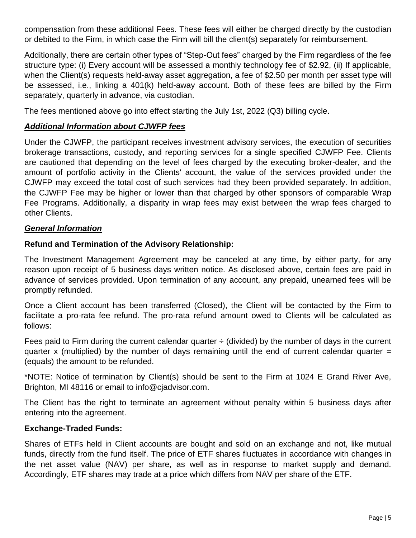compensation from these additional Fees. These fees will either be charged directly by the custodian or debited to the Firm, in which case the Firm will bill the client(s) separately for reimbursement.

Additionally, there are certain other types of "Step-Out fees" charged by the Firm regardless of the fee structure type: (i) Every account will be assessed a monthly technology fee of \$2.92, (ii) If applicable, when the Client(s) requests held-away asset aggregation, a fee of \$2.50 per month per asset type will be assessed, i.e., linking a 401(k) held-away account. Both of these fees are billed by the Firm separately, quarterly in advance, via custodian.

The fees mentioned above go into effect starting the July 1st, 2022 (Q3) billing cycle.

#### *Additional Information about CJWFP fees*

Under the CJWFP, the participant receives investment advisory services, the execution of securities brokerage transactions, custody, and reporting services for a single specified CJWFP Fee. Clients are cautioned that depending on the level of fees charged by the executing broker-dealer, and the amount of portfolio activity in the Clients' account, the value of the services provided under the CJWFP may exceed the total cost of such services had they been provided separately. In addition, the CJWFP Fee may be higher or lower than that charged by other sponsors of comparable Wrap Fee Programs. Additionally, a disparity in wrap fees may exist between the wrap fees charged to other Clients.

#### *General Information*

#### **Refund and Termination of the Advisory Relationship:**

The Investment Management Agreement may be canceled at any time, by either party, for any reason upon receipt of 5 business days written notice. As disclosed above, certain fees are paid in advance of services provided. Upon termination of any account, any prepaid, unearned fees will be promptly refunded.

Once a Client account has been transferred (Closed), the Client will be contacted by the Firm to facilitate a pro-rata fee refund. The pro-rata refund amount owed to Clients will be calculated as follows:

Fees paid to Firm during the current calendar quarter  $\div$  (divided) by the number of days in the current quarter x (multiplied) by the number of days remaining until the end of current calendar quarter  $=$ (equals) the amount to be refunded.

\*NOTE: Notice of termination by Client(s) should be sent to the Firm at 1024 E Grand River Ave, Brighton, MI 48116 or email to info@cjadvisor.com.

The Client has the right to terminate an agreement without penalty within 5 business days after entering into the agreement.

#### **Exchange-Traded Funds:**

Shares of ETFs held in Client accounts are bought and sold on an exchange and not, like mutual funds, directly from the fund itself. The price of ETF shares fluctuates in accordance with changes in the net asset value (NAV) per share, as well as in response to market supply and demand. Accordingly, ETF shares may trade at a price which differs from NAV per share of the ETF.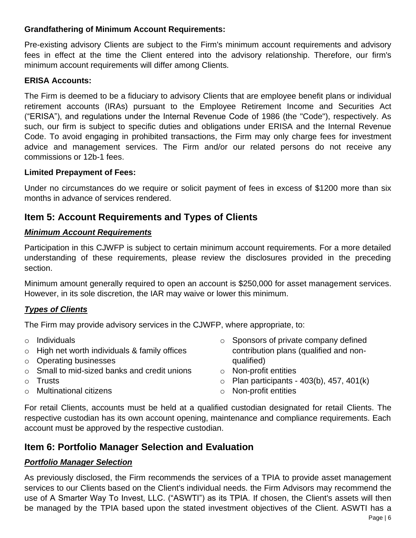### **Grandfathering of Minimum Account Requirements:**

Pre-existing advisory Clients are subject to the Firm's minimum account requirements and advisory fees in effect at the time the Client entered into the advisory relationship. Therefore, our firm's minimum account requirements will differ among Clients.

### **ERISA Accounts:**

The Firm is deemed to be a fiduciary to advisory Clients that are employee benefit plans or individual retirement accounts (IRAs) pursuant to the Employee Retirement Income and Securities Act ("ERISA"), and regulations under the Internal Revenue Code of 1986 (the "Code"), respectively. As such, our firm is subject to specific duties and obligations under ERISA and the Internal Revenue Code. To avoid engaging in prohibited transactions, the Firm may only charge fees for investment advice and management services. The Firm and/or our related persons do not receive any commissions or 12b-1 fees.

### **Limited Prepayment of Fees:**

Under no circumstances do we require or solicit payment of fees in excess of \$1200 more than six months in advance of services rendered.

# <span id="page-5-0"></span>**Item 5: Account Requirements and Types of Clients**

### *Minimum Account Requirements*

Participation in this CJWFP is subject to certain minimum account requirements. For a more detailed understanding of these requirements, please review the disclosures provided in the preceding section.

Minimum amount generally required to open an account is \$250,000 for asset management services. However, in its sole discretion, the IAR may waive or lower this minimum.

### *Types of Clients*

The Firm may provide advisory services in the CJWFP, where appropriate, to:

- o Individuals
- o High net worth individuals & family offices
- o Operating businesses
- o Small to mid-sized banks and credit unions
- o Trusts
- o Multinational citizens
- o Sponsors of private company defined contribution plans (qualified and nonqualified)
- o Non-profit entities
- $\circ$  Plan participants 403(b), 457, 401(k)
- o Non-profit entities

For retail Clients, accounts must be held at a qualified custodian designated for retail Clients. The respective custodian has its own account opening, maintenance and compliance requirements. Each account must be approved by the respective custodian.

# <span id="page-5-1"></span>**Item 6: Portfolio Manager Selection and Evaluation**

# *Portfolio Manager Selection*

As previously disclosed, the Firm recommends the services of a TPIA to provide asset management services to our Clients based on the Client's individual needs. the Firm Advisors may recommend the use of A Smarter Way To Invest, LLC. ("ASWTI") as its TPIA. If chosen, the Client's assets will then be managed by the TPIA based upon the stated investment objectives of the Client. ASWTI has a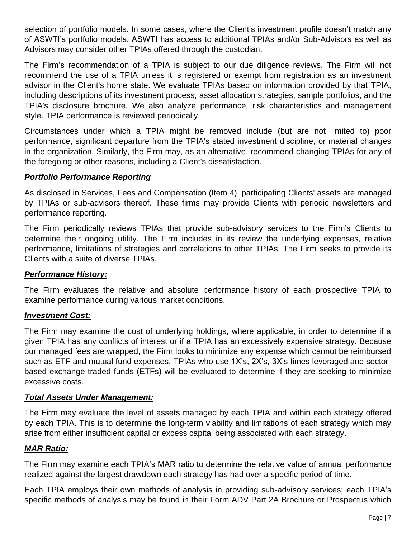selection of portfolio models. In some cases, where the Client's investment profile doesn't match any of ASWTI's portfolio models, ASWTI has access to additional TPIAs and/or Sub-Advisors as well as Advisors may consider other TPIAs offered through the custodian.

The Firm's recommendation of a TPIA is subject to our due diligence reviews. The Firm will not recommend the use of a TPIA unless it is registered or exempt from registration as an investment advisor in the Client's home state. We evaluate TPIAs based on information provided by that TPIA, including descriptions of its investment process, asset allocation strategies, sample portfolios, and the TPIA's disclosure brochure. We also analyze performance, risk characteristics and management style. TPIA performance is reviewed periodically.

Circumstances under which a TPIA might be removed include (but are not limited to) poor performance, significant departure from the TPIA's stated investment discipline, or material changes in the organization. Similarly, the Firm may, as an alternative, recommend changing TPIAs for any of the foregoing or other reasons, including a Client's dissatisfaction.

### *Portfolio Performance Reporting*

As disclosed in Services, Fees and Compensation (Item 4), participating Clients' assets are managed by TPIAs or sub-advisors thereof. These firms may provide Clients with periodic newsletters and performance reporting.

The Firm periodically reviews TPIAs that provide sub-advisory services to the Firm's Clients to determine their ongoing utility. The Firm includes in its review the underlying expenses, relative performance, limitations of strategies and correlations to other TPIAs. The Firm seeks to provide its Clients with a suite of diverse TPIAs.

### *Performance History:*

The Firm evaluates the relative and absolute performance history of each prospective TPIA to examine performance during various market conditions.

### *Investment Cost:*

The Firm may examine the cost of underlying holdings, where applicable, in order to determine if a given TPIA has any conflicts of interest or if a TPIA has an excessively expensive strategy. Because our managed fees are wrapped, the Firm looks to minimize any expense which cannot be reimbursed such as ETF and mutual fund expenses. TPIAs who use 1X's, 2X's, 3X's times leveraged and sectorbased exchange-traded funds (ETFs) will be evaluated to determine if they are seeking to minimize excessive costs.

### *Total Assets Under Management:*

The Firm may evaluate the level of assets managed by each TPIA and within each strategy offered by each TPIA. This is to determine the long-term viability and limitations of each strategy which may arise from either insufficient capital or excess capital being associated with each strategy.

#### *MAR Ratio:*

The Firm may examine each TPIA's MAR ratio to determine the relative value of annual performance realized against the largest drawdown each strategy has had over a specific period of time.

Each TPIA employs their own methods of analysis in providing sub-advisory services; each TPIA's specific methods of analysis may be found in their Form ADV Part 2A Brochure or Prospectus which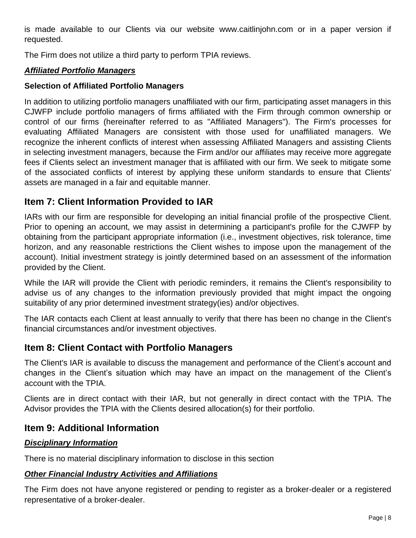is made available to our Clients via our website www.caitlinjohn.com or in a paper version if requested.

The Firm does not utilize a third party to perform TPIA reviews.

### *Affiliated Portfolio Managers*

### **Selection of Affiliated Portfolio Managers**

In addition to utilizing portfolio managers unaffiliated with our firm, participating asset managers in this CJWFP include portfolio managers of firms affiliated with the Firm through common ownership or control of our firms (hereinafter referred to as "Affiliated Managers"). The Firm's processes for evaluating Affiliated Managers are consistent with those used for unaffiliated managers. We recognize the inherent conflicts of interest when assessing Affiliated Managers and assisting Clients in selecting investment managers, because the Firm and/or our affiliates may receive more aggregate fees if Clients select an investment manager that is affiliated with our firm. We seek to mitigate some of the associated conflicts of interest by applying these uniform standards to ensure that Clients' assets are managed in a fair and equitable manner.

# <span id="page-7-0"></span>**Item 7: Client Information Provided to IAR**

IARs with our firm are responsible for developing an initial financial profile of the prospective Client. Prior to opening an account, we may assist in determining a participant's profile for the CJWFP by obtaining from the participant appropriate information (i.e., investment objectives, risk tolerance, time horizon, and any reasonable restrictions the Client wishes to impose upon the management of the account). Initial investment strategy is jointly determined based on an assessment of the information provided by the Client.

While the IAR will provide the Client with periodic reminders, it remains the Client's responsibility to advise us of any changes to the information previously provided that might impact the ongoing suitability of any prior determined investment strategy(ies) and/or objectives.

The IAR contacts each Client at least annually to verify that there has been no change in the Client's financial circumstances and/or investment objectives.

### <span id="page-7-1"></span>**Item 8: Client Contact with Portfolio Managers**

The Client's IAR is available to discuss the management and performance of the Client's account and changes in the Client's situation which may have an impact on the management of the Client's account with the TPIA.

Clients are in direct contact with their IAR, but not generally in direct contact with the TPIA. The Advisor provides the TPIA with the Clients desired allocation(s) for their portfolio.

### <span id="page-7-2"></span>**Item 9: Additional Information**

### *Disciplinary Information*

There is no material disciplinary information to disclose in this section

### *Other Financial Industry Activities and Affiliations*

The Firm does not have anyone registered or pending to register as a broker-dealer or a registered representative of a broker-dealer.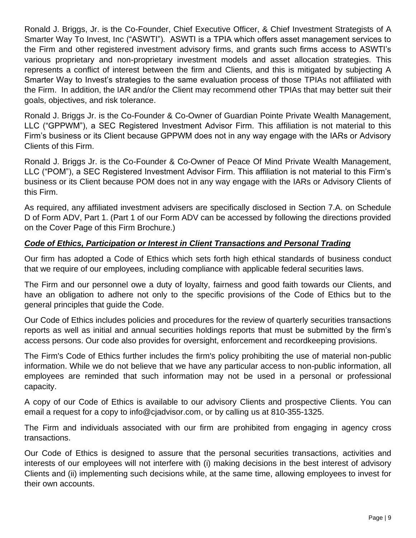Ronald J. Briggs, Jr. is the Co-Founder, Chief Executive Officer, & Chief Investment Strategists of A Smarter Way To Invest, Inc ("ASWTI"). ASWTI is a TPIA which offers asset management services to the Firm and other registered investment advisory firms, and grants such firms access to ASWTI's various proprietary and non-proprietary investment models and asset allocation strategies. This represents a conflict of interest between the firm and Clients, and this is mitigated by subjecting A Smarter Way to Invest's strategies to the same evaluation process of those TPIAs not affiliated with the Firm. In addition, the IAR and/or the Client may recommend other TPIAs that may better suit their goals, objectives, and risk tolerance.

Ronald J. Briggs Jr. is the Co-Founder & Co-Owner of Guardian Pointe Private Wealth Management, LLC ("GPPWM"), a SEC Registered Investment Advisor Firm. This affiliation is not material to this Firm's business or its Client because GPPWM does not in any way engage with the IARs or Advisory Clients of this Firm.

Ronald J. Briggs Jr. is the Co-Founder & Co-Owner of Peace Of Mind Private Wealth Management, LLC ("POM"), a SEC Registered Investment Advisor Firm. This affiliation is not material to this Firm's business or its Client because POM does not in any way engage with the IARs or Advisory Clients of this Firm.

As required, any affiliated investment advisers are specifically disclosed in Section 7.A. on Schedule D of Form ADV, Part 1. (Part 1 of our Form ADV can be accessed by following the directions provided on the Cover Page of this Firm Brochure.)

### *Code of Ethics, Participation or Interest in Client Transactions and Personal Trading*

Our firm has adopted a Code of Ethics which sets forth high ethical standards of business conduct that we require of our employees, including compliance with applicable federal securities laws.

The Firm and our personnel owe a duty of loyalty, fairness and good faith towards our Clients, and have an obligation to adhere not only to the specific provisions of the Code of Ethics but to the general principles that guide the Code.

Our Code of Ethics includes policies and procedures for the review of quarterly securities transactions reports as well as initial and annual securities holdings reports that must be submitted by the firm's access persons. Our code also provides for oversight, enforcement and recordkeeping provisions.

The Firm's Code of Ethics further includes the firm's policy prohibiting the use of material non-public information. While we do not believe that we have any particular access to non-public information, all employees are reminded that such information may not be used in a personal or professional capacity.

A copy of our Code of Ethics is available to our advisory Clients and prospective Clients. You can email a request for a copy to info@cjadvisor.com, or by calling us at 810-355-1325.

The Firm and individuals associated with our firm are prohibited from engaging in agency cross transactions.

Our Code of Ethics is designed to assure that the personal securities transactions, activities and interests of our employees will not interfere with (i) making decisions in the best interest of advisory Clients and (ii) implementing such decisions while, at the same time, allowing employees to invest for their own accounts.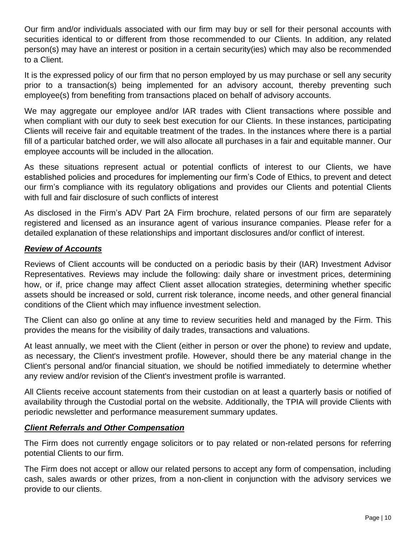Our firm and/or individuals associated with our firm may buy or sell for their personal accounts with securities identical to or different from those recommended to our Clients. In addition, any related person(s) may have an interest or position in a certain security(ies) which may also be recommended to a Client.

It is the expressed policy of our firm that no person employed by us may purchase or sell any security prior to a transaction(s) being implemented for an advisory account, thereby preventing such employee(s) from benefiting from transactions placed on behalf of advisory accounts.

We may aggregate our employee and/or IAR trades with Client transactions where possible and when compliant with our duty to seek best execution for our Clients. In these instances, participating Clients will receive fair and equitable treatment of the trades. In the instances where there is a partial fill of a particular batched order, we will also allocate all purchases in a fair and equitable manner. Our employee accounts will be included in the allocation.

As these situations represent actual or potential conflicts of interest to our Clients, we have established policies and procedures for implementing our firm's Code of Ethics, to prevent and detect our firm's compliance with its regulatory obligations and provides our Clients and potential Clients with full and fair disclosure of such conflicts of interest

As disclosed in the Firm's ADV Part 2A Firm brochure, related persons of our firm are separately registered and licensed as an insurance agent of various insurance companies. Please refer for a detailed explanation of these relationships and important disclosures and/or conflict of interest.

### *Review of Accounts*

Reviews of Client accounts will be conducted on a periodic basis by their (IAR) Investment Advisor Representatives. Reviews may include the following: daily share or investment prices, determining how, or if, price change may affect Client asset allocation strategies, determining whether specific assets should be increased or sold, current risk tolerance, income needs, and other general financial conditions of the Client which may influence investment selection.

The Client can also go online at any time to review securities held and managed by the Firm. This provides the means for the visibility of daily trades, transactions and valuations.

At least annually, we meet with the Client (either in person or over the phone) to review and update, as necessary, the Client's investment profile. However, should there be any material change in the Client's personal and/or financial situation, we should be notified immediately to determine whether any review and/or revision of the Client's investment profile is warranted.

All Clients receive account statements from their custodian on at least a quarterly basis or notified of availability through the Custodial portal on the website. Additionally, the TPIA will provide Clients with periodic newsletter and performance measurement summary updates.

### *Client Referrals and Other Compensation*

The Firm does not currently engage solicitors or to pay related or non-related persons for referring potential Clients to our firm.

The Firm does not accept or allow our related persons to accept any form of compensation, including cash, sales awards or other prizes, from a non-client in conjunction with the advisory services we provide to our clients.